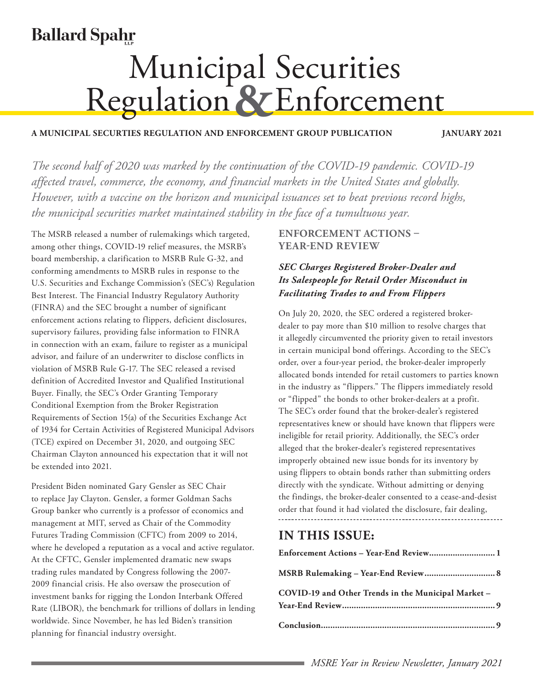# **Ballard Spahr**

# **Municipal Securities<br>Regulation & Enforcement**

#### **A MUNICIPAL SECURTIES REGULATION AND ENFORCEMENT GROUP PUBLICATION JANUARY 2021**

*The second half of 2020 was marked by the continuation of the COVID-19 pandemic. COVID-19 affected travel, commerce, the economy, and financial markets in the United States and globally. However, with a vaccine on the horizon and municipal issuances set to beat previous record highs, the municipal securities market maintained stability in the face of a tumultuous year.*

The MSRB released a number of rulemakings which targeted, among other things, COVID-19 relief measures, the MSRB's board membership, a clarification to MSRB Rule G-32, and conforming amendments to MSRB rules in response to the U.S. Securities and Exchange Commission's (SEC's) Regulation Best Interest. The Financial Industry Regulatory Authority (FINRA) and the SEC brought a number of significant enforcement actions relating to flippers, deficient disclosures, supervisory failures, providing false information to FINRA in connection with an exam, failure to register as a municipal advisor, and failure of an underwriter to disclose conflicts in violation of MSRB Rule G-17. The SEC released a revised definition of Accredited Investor and Qualified Institutional Buyer. Finally, the SEC's Order Granting Temporary Conditional Exemption from the Broker Registration Requirements of Section 15(a) of the Securities Exchange Act of 1934 for Certain Activities of Registered Municipal Advisors (TCE) expired on December 31, 2020, and outgoing SEC Chairman Clayton announced his expectation that it will not be extended into 2021.

President Biden nominated Gary Gensler as SEC Chair to replace Jay Clayton. Gensler, a former Goldman Sachs Group banker who currently is a professor of economics and management at MIT, served as Chair of the Commodity Futures Trading Commission (CFTC) from 2009 to 2014, where he developed a reputation as a vocal and active regulator. At the CFTC, Gensler implemented dramatic new swaps trading rules mandated by Congress following the 2007- 2009 financial crisis. He also oversaw the prosecution of investment banks for rigging the London Interbank Offered Rate (LIBOR), the benchmark for trillions of dollars in lending worldwide. Since November, he has led Biden's transition planning for financial industry oversight.

#### **ENFORCEMENT ACTIONS – YEAR-END REVIEW**

#### *SEC Charges Registered Broker-Dealer and Its Salespeople for Retail Order Misconduct in Facilitating Trades to and From Flippers*

On July 20, 2020, the SEC ordered a registered brokerdealer to pay more than \$10 million to resolve charges that it allegedly circumvented the priority given to retail investors in certain municipal bond offerings. According to the [SEC's](https://www.sec.gov/litigation/admin/2020/34-89348.pdf)  [order](https://www.sec.gov/litigation/admin/2020/34-89348.pdf), over a four-year period, the broker-dealer improperly allocated bonds intended for retail customers to parties known in the industry as "flippers." The flippers immediately resold or "flipped" the bonds to other broker-dealers at a profit. The SEC's order found that the broker-dealer's registered representatives knew or should have known that flippers were ineligible for retail priority. Additionally, the SEC's order alleged that the broker-dealer's registered representatives improperly obtained new issue bonds for its inventory by using flippers to obtain bonds rather than submitting orders directly with the syndicate. Without admitting or denying the findings, the broker-dealer consented to a cease-and-desist order that found it had violated the disclosure, fair dealing,

# **IN THIS ISSUE:**

| Enforcement Actions - Year-End Review 1             |
|-----------------------------------------------------|
| MSRB Rulemaking - Year-End Review 8                 |
| COVID-19 and Other Trends in the Municipal Market - |
|                                                     |
|                                                     |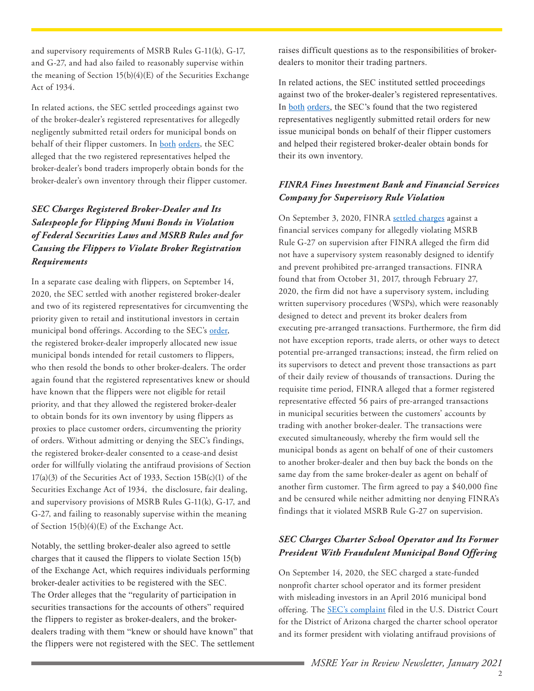and supervisory requirements of MSRB Rules G-11(k), G-17, and G-27, and had also failed to reasonably supervise within the meaning of Section 15(b)(4)(E) of the Securities Exchange Act of 1934.

In related actions, the SEC settled proceedings against two of the broker-dealer's registered representatives for allegedly negligently submitted retail orders for municipal bonds on behalf of their flipper customers. In [both](https://www.sec.gov/litigation/admin/2020/34-89347.pdf) [orders](https://www.sec.gov/litigation/admin/2020/34-89346.pdf), the SEC alleged that the two registered representatives helped the broker-dealer's bond traders improperly obtain bonds for the broker-dealer's own inventory through their flipper customer.

# *SEC Charges Registered Broker-Dealer and Its Salespeople for Flipping Muni Bonds in Violation of Federal Securities Laws and MSRB Rules and for Causing the Flippers to Violate Broker Registration Requirements*

In a separate case dealing with flippers, on September 14, 2020, the SEC settled with another registered broker-dealer and two of its registered representatives for circumventing the priority given to retail and institutional investors in certain municipal bond offerings. According to the SEC's [order,](https://www.sec.gov/litigation/admin/2020/33-10837.pdf) the registered broker-dealer improperly allocated new issue municipal bonds intended for retail customers to flippers, who then resold the bonds to other broker-dealers. The order again found that the registered representatives knew or should have known that the flippers were not eligible for retail priority, and that they allowed the registered broker-dealer to obtain bonds for its own inventory by using flippers as proxies to place customer orders, circumventing the priority of orders. Without admitting or denying the SEC's findings, the registered broker-dealer consented to a cease-and desist order for willfully violating the antifraud provisions of Section  $17(a)(3)$  of the Securities Act of 1933, Section  $15B(c)(1)$  of the Securities Exchange Act of 1934, the disclosure, fair dealing, and supervisory provisions of MSRB Rules G-11(k), G-17, and G-27, and failing to reasonably supervise within the meaning of Section 15(b)(4)(E) of the Exchange Act.

Notably, the settling broker-dealer also agreed to settle charges that it caused the flippers to violate Section 15(b) of the Exchange Act, which requires individuals performing broker-dealer activities to be registered with the SEC. The Order alleges that the "regularity of participation in securities transactions for the accounts of others" required the flippers to register as broker-dealers, and the brokerdealers trading with them "knew or should have known" that the flippers were not registered with the SEC. The settlement raises difficult questions as to the responsibilities of brokerdealers to monitor their trading partners.

In related actions, the SEC instituted settled proceedings against two of the broker-dealer's registered representatives. In [both](https://www.sec.gov/litigation/admin/2020/33-10838.pdf) [orders](https://www.sec.gov/litigation/admin/2020/33-10839.pdf), the SEC's found that the two registered representatives negligently submitted retail orders for new issue municipal bonds on behalf of their flipper customers and helped their registered broker-dealer obtain bonds for their its own inventory.

#### *FINRA Fines Investment Bank and Financial Services Company for Supervisory Rule Violation*

On September 3, 2020, FINRA [settled charges](https://www.finra.org/sites/default/files/fda_documents/2018057286802%20Stifel%2C%20Nicolaus%20%26%20Company%2C%20Inc%20CRD%20793%20AWC%20sl%20%282020-1601684371148%29.pdf) against a financial services company for allegedly violating MSRB Rule G-27 on supervision after FINRA alleged the firm did not have a supervisory system reasonably designed to identify and prevent prohibited pre-arranged transactions. FINRA found that from October 31, 2017, through February 27, 2020, the firm did not have a supervisory system, including written supervisory procedures (WSPs), which were reasonably designed to detect and prevent its broker dealers from executing pre-arranged transactions. Furthermore, the firm did not have exception reports, trade alerts, or other ways to detect potential pre-arranged transactions; instead, the firm relied on its supervisors to detect and prevent those transactions as part of their daily review of thousands of transactions. During the requisite time period, FINRA alleged that a former registered representative effected 56 pairs of pre-arranged transactions in municipal securities between the customers' accounts by trading with another broker-dealer. The transactions were executed simultaneously, whereby the firm would sell the municipal bonds as agent on behalf of one of their customers to another broker-dealer and then buy back the bonds on the same day from the same broker-dealer as agent on behalf of another firm customer. The firm agreed to pay a \$40,000 fine and be censured while neither admitting nor denying FINRA's findings that it violated MSRB Rule G-27 on supervision.

#### *SEC Charges Charter School Operator and Its Former President With Fraudulent Municipal Bond Offering*

On September 14, 2020, the SEC charged a state-funded nonprofit charter school operator and its former president with misleading investors in an April 2016 municipal bond offering. The **SEC's** complaint filed in the U.S. District Court for the District of Arizona charged the charter school operator and its former president with violating antifraud provisions of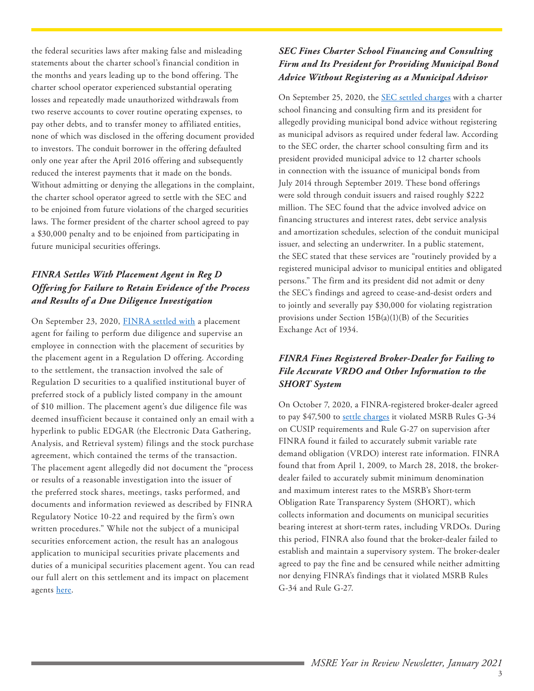the federal securities laws after making false and misleading statements about the charter school's financial condition in the months and years leading up to the bond offering. The charter school operator experienced substantial operating losses and repeatedly made unauthorized withdrawals from two reserve accounts to cover routine operating expenses, to pay other debts, and to transfer money to affiliated entities, none of which was disclosed in the offering document provided to investors. The conduit borrower in the offering defaulted only one year after the April 2016 offering and subsequently reduced the interest payments that it made on the bonds. Without admitting or denying the allegations in the complaint, the charter school operator agreed to settle with the SEC and to be enjoined from future violations of the charged securities laws. The former president of the charter school agreed to pay a \$30,000 penalty and to be enjoined from participating in future municipal securities offerings.

# *FINRA Settles With Placement Agent in Reg D Offering for Failure to Retain Evidence of the Process and Results of a Due Diligence Investigation*

On September 23, 2020, [FINRA settled with](https://www.finra.org/sites/default/files/fda_documents/2015048347902%20Capital%20City%20Securities%2C%20LLC%20CRD%20146001%20AWC%20sl%20%282020-1603585168711%29.pdf) a placement agent for failing to perform due diligence and supervise an employee in connection with the placement of securities by the placement agent in a Regulation D offering. According to the settlement, the transaction involved the sale of Regulation D securities to a qualified institutional buyer of preferred stock of a publicly listed company in the amount of \$10 million. The placement agent's due diligence file was deemed insufficient because it contained only an email with a hyperlink to public EDGAR (the Electronic Data Gathering, Analysis, and Retrieval system) filings and the stock purchase agreement, which contained the terms of the transaction. The placement agent allegedly did not document the "process or results of a reasonable investigation into the issuer of the preferred stock shares, meetings, tasks performed, and documents and information reviewed as described by FINRA Regulatory Notice 10-22 and required by the firm's own written procedures." While not the subject of a municipal securities enforcement action, the result has an analogous application to municipal securities private placements and duties of a municipal securities placement agent. You can read our full alert on this settlement and its impact on placement agents [here.](https://www.ballardspahr.com/alertspublications/legalalerts/2020-12-01-placement-agents-and-due-diligence-finra-settles-with-a-placement-agent-for-failure)

### *SEC Fines Charter School Financing and Consulting Firm and Its President for Providing Municipal Bond Advice Without Registering as a Municipal Advisor*

On September 25, 2020, the [SEC settled charges](https://www.sec.gov/litigation/admin/2020/34-90002.pdf) with a charter school financing and consulting firm and its president for allegedly providing municipal bond advice without registering as municipal advisors as required under federal law. According to the SEC order, the charter school consulting firm and its president provided municipal advice to 12 charter schools in connection with the issuance of municipal bonds from July 2014 through September 2019. These bond offerings were sold through conduit issuers and raised roughly \$222 million. The SEC found that the advice involved advice on financing structures and interest rates, debt service analysis and amortization schedules, selection of the conduit municipal issuer, and selecting an underwriter. In a public statement, the SEC stated that these services are "routinely provided by a registered municipal advisor to municipal entities and obligated persons." The firm and its president did not admit or deny the SEC's findings and agreed to cease-and-desist orders and to jointly and severally pay \$30,000 for violating registration provisions under Section 15B(a)(1)(B) of the Securities Exchange Act of 1934.

# *FINRA Fines Registered Broker-Dealer for Failing to File Accurate VRDO and Other Information to the SHORT System*

On October 7, 2020, a FINRA-registered broker-dealer agreed to pay \$47,500 to [settle charges](https://www.finra.org/sites/default/files/fda_documents/2018057742301%20Raymond%20James%20%26%20Associates%2C%20Inc.%20CRD%20705%20AWC%20RRM%20%282020-1604794768587%29.pdf) it violated MSRB Rules G-34 on CUSIP requirements and Rule G-27 on supervision after FINRA found it failed to accurately submit variable rate demand obligation (VRDO) interest rate information. FINRA found that from April 1, 2009, to March 28, 2018, the brokerdealer failed to accurately submit minimum denomination and maximum interest rates to the MSRB's Short-term Obligation Rate Transparency System (SHORT), which collects information and documents on municipal securities bearing interest at short-term rates, including VRDOs. During this period, FINRA also found that the broker-dealer failed to establish and maintain a supervisory system. The broker-dealer agreed to pay the fine and be censured while neither admitting nor denying FINRA's findings that it violated MSRB Rules G-34 and Rule G-27.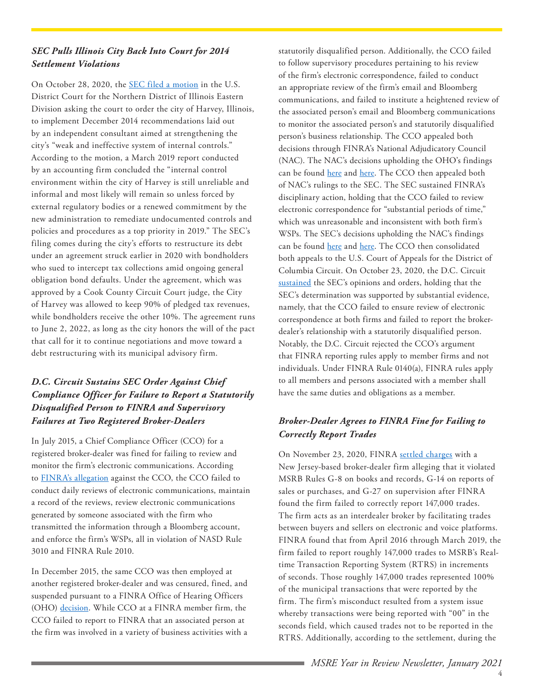#### *SEC Pulls Illinois City Back Into Court for 2014 Settlement Violations*

On October 28, 2020, the [SEC filed a motion](https://www.law360.com/articles/1323828/attachments/0) in the U.S. District Court for the Northern District of Illinois Eastern Division asking the court to order the city of Harvey, Illinois, to implement December 2014 recommendations laid out by an independent consultant aimed at strengthening the city's "weak and ineffective system of internal controls." According to the motion, a March 2019 report conducted by an accounting firm concluded the "internal control environment within the city of Harvey is still unreliable and informal and most likely will remain so unless forced by external regulatory bodies or a renewed commitment by the new administration to remediate undocumented controls and policies and procedures as a top priority in 2019." The SEC's filing comes during the city's efforts to restructure its debt under an agreement struck earlier in 2020 with bondholders who sued to intercept tax collections amid ongoing general obligation bond defaults. Under the agreement, which was approved by a Cook County Circuit Court judge, the City of Harvey was allowed to keep 90% of pledged tax revenues, while bondholders receive the other 10%. The agreement runs to June 2, 2022, as long as the city honors the will of the pact that call for it to continue negotiations and move toward a debt restructuring with its municipal advisory firm.

# *D.C. Circuit Sustains SEC Order Against Chief Compliance Officer for Failure to Report a Statutorily Disqualified Person to FINRA and Supervisory Failures at Two Registered Broker-Dealers*

In July 2015, a Chief Compliance Officer (CCO) for a registered broker-dealer was fined for failing to review and monitor the firm's electronic communications. According to [FINRA's allegation](https://www.finra.org/sites/default/files/OHO_North_2012030527503_072315_0_0.pdf) against the CCO, the CCO failed to conduct daily reviews of electronic communications, maintain a record of the reviews, review electronic communications generated by someone associated with the firm who transmitted the information through a Bloomberg account, and enforce the firm's WSPs, all in violation of NASD Rule 3010 and FINRA Rule 2010.

In December 2015, the same CCO was then employed at another registered broker-dealer and was censured, fined, and suspended pursuant to a FINRA Office of Hearing Officers (OHO) [decision](https://www.finra.org/sites/default/files/OHO_North_2010025087302_120115.pdf). While CCO at a FINRA member firm, the CCO failed to report to FINRA that an associated person at the firm was involved in a variety of business activities with a

statutorily disqualified person. Additionally, the CCO failed to follow supervisory procedures pertaining to his review of the firm's electronic correspondence, failed to conduct an appropriate review of the firm's email and Bloomberg communications, and failed to institute a heightened review of the associated person's email and Bloomberg communications to monitor the associated person's and statutorily disqualified person's business relationship. The CCO appealed both decisions through FINRA's National Adjudicatory Council (NAC). The NAC's decisions upholding the OHO's findings can be found [here](https://www.finra.org/sites/default/files/NAC_2012030527503_North_080317_0_0.pdf) and [here](https://www.finra.org/sites/default/files/NAC_2010025087302_North_031517_0.pdf). The CCO then appealed both of NAC's rulings to the SEC. The SEC sustained FINRA's disciplinary action, holding that the CCO failed to review electronic correspondence for "substantial periods of time," which was unreasonable and inconsistent with both firm's WSPs. The SEC's decisions upholding the NAC's findings can be found [here](https://www.sec.gov/litigation/opinions/2018/34-84500.pdf) and [here](https://www.sec.gov/litigation/opinions/2019/34-87638.pdf). The CCO then consolidated both appeals to the U.S. Court of Appeals for the District of Columbia Circuit. On October 23, 2020, the D.C. Circuit [sustained](https://www.govinfo.gov/content/pkg/USCOURTS-caDC-18-01341/pdf/USCOURTS-caDC-18-01341-0.pdf) the SEC's opinions and orders, holding that the SEC's determination was supported by substantial evidence, namely, that the CCO failed to ensure review of electronic correspondence at both firms and failed to report the brokerdealer's relationship with a statutorily disqualified person. Notably, the D.C. Circuit rejected the CCO's argument that FINRA reporting rules apply to member firms and not individuals. Under FINRA Rule 0140(a), FINRA rules apply to all members and persons associated with a member shall have the same duties and obligations as a member.

# *Broker-Dealer Agrees to FINRA Fine for Failing to Correctly Report Trades*

On November 23, 2020, FINRA [settled charges](https://www.finra.org/sites/default/files/fda_documents/2018057239701%20Dealerweb%20Inc.%20CRD%2019662%20AWC%20va.pdf) with a New Jersey-based broker-dealer firm alleging that it violated MSRB Rules G-8 on books and records, G-14 on reports of sales or purchases, and G-27 on supervision after FINRA found the firm failed to correctly report 147,000 trades. The firm acts as an interdealer broker by facilitating trades between buyers and sellers on electronic and voice platforms. FINRA found that from April 2016 through March 2019, the firm failed to report roughly 147,000 trades to MSRB's Realtime Transaction Reporting System (RTRS) in increments of seconds. Those roughly 147,000 trades represented 100% of the municipal transactions that were reported by the firm. The firm's misconduct resulted from a system issue whereby transactions were being reported with "00" in the seconds field, which caused trades not to be reported in the RTRS. Additionally, according to the settlement, during the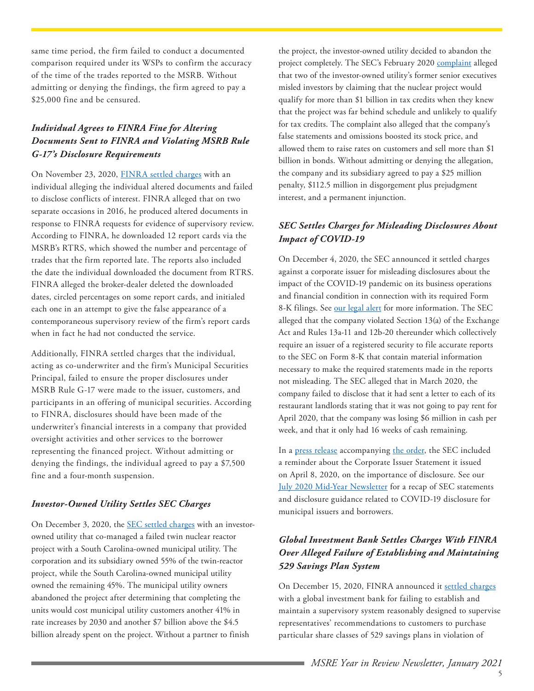same time period, the firm failed to conduct a documented comparison required under its WSPs to confirm the accuracy of the time of the trades reported to the MSRB. Without admitting or denying the findings, the firm agreed to pay a \$25,000 fine and be censured.

# *Individual Agrees to FINRA Fine for Altering Documents Sent to FINRA and Violating MSRB Rule G-17's Disclosure Requirements*

On November 23, 2020, [FINRA settled charges](https://www.finra.org/sites/default/files/fda_documents/2016049886601%20Kevin%20Paul%20Rast%20CRD%201350998%20AWC%20va.pdf) with an individual alleging the individual altered documents and failed to disclose conflicts of interest. FINRA alleged that on two separate occasions in 2016, he produced altered documents in response to FINRA requests for evidence of supervisory review. According to FINRA, he downloaded 12 report cards via the MSRB's RTRS, which showed the number and percentage of trades that the firm reported late. The reports also included the date the individual downloaded the document from RTRS. FINRA alleged the broker-dealer deleted the downloaded dates, circled percentages on some report cards, and initialed each one in an attempt to give the false appearance of a contemporaneous supervisory review of the firm's report cards when in fact he had not conducted the service.

Additionally, FINRA settled charges that the individual, acting as co-underwriter and the firm's Municipal Securities Principal, failed to ensure the proper disclosures under MSRB Rule G-17 were made to the issuer, customers, and participants in an offering of municipal securities. According to FINRA, disclosures should have been made of the underwriter's financial interests in a company that provided oversight activities and other services to the borrower representing the financed project. Without admitting or denying the findings, the individual agreed to pay a \$7,500 fine and a four-month suspension.

#### *Investor-Owned Utility Settles SEC Charges*

On December 3, 2020, the **SEC** settled charges with an investorowned utility that co-managed a failed twin nuclear reactor project with a South Carolina-owned municipal utility. The corporation and its subsidiary owned 55% of the twin-reactor project, while the South Carolina-owned municipal utility owned the remaining 45%. The municipal utility owners abandoned the project after determining that completing the units would cost municipal utility customers another 41% in rate increases by 2030 and another \$7 billion above the \$4.5 billion already spent on the project. Without a partner to finish

the project, the investor-owned utility decided to abandon the project completely. The SEC's February 2020 [complaint](https://www.sec.gov/litigation/complaints/2020/comp24751.pdf) alleged that two of the investor-owned utility's former senior executives misled investors by claiming that the nuclear project would qualify for more than \$1 billion in tax credits when they knew that the project was far behind schedule and unlikely to qualify for tax credits. The complaint also alleged that the company's false statements and omissions boosted its stock price, and allowed them to raise rates on customers and sell more than \$1 billion in bonds. Without admitting or denying the allegation, the company and its subsidiary agreed to pay a \$25 million penalty, \$112.5 million in disgorgement plus prejudgment interest, and a permanent injunction.

#### *SEC Settles Charges for Misleading Disclosures About Impact of COVID-19*

On December 4, 2020, the SEC announced it settled charges against a corporate issuer for misleading disclosures about the impact of the COVID-19 pandemic on its business operations and financial condition in connection with its required Form 8-K filings. See [our legal alert](https://www.ballardspahr.com/alertspublications/legalalerts/2020-12-04-sec-announces-first-enforcement-action-against-public-company-for-misleading) for more information. The SEC alleged that the company violated Section 13(a) of the Exchange Act and Rules 13a-11 and 12b-20 thereunder which collectively require an issuer of a registered security to file accurate reports to the SEC on Form 8-K that contain material information necessary to make the required statements made in the reports not misleading. The SEC alleged that in March 2020, the company failed to disclose that it had sent a letter to each of its restaurant landlords stating that it was not going to pay rent for April 2020, that the company was losing \$6 million in cash per week, and that it only had 16 weeks of cash remaining.

In a [press release](https://www.sec.gov/news/press-release/2020-306) accompanying [the order](https://www.sec.gov/litigation/admin/2020/34-90565.pdf), the SEC included a reminder about the Corporate Issuer Statement it issued on April 8, 2020, on the importance of disclosure. See our [July 2020 Mid-Year Newsletter](https://www.ballardspahr.com/-/media/files/municipal-market-enforcement---07-20.pdf) for a recap of SEC statements and disclosure guidance related to COVID-19 disclosure for municipal issuers and borrowers.

# *Global Investment Bank Settles Charges With FINRA Over Alleged Failure of Establishing and Maintaining 529 Savings Plan System*

On December 15, 2020, FINRA announced it [settled charges](https://www.finra.org/sites/default/files/fda_documents/2016047696701%20RBC%20Capital%20Markets%2C%20LLC%20CRD%2031194%20AWC%20rrm.pdf) with a global investment bank for failing to establish and maintain a supervisory system reasonably designed to supervise representatives' recommendations to customers to purchase particular share classes of 529 savings plans in violation of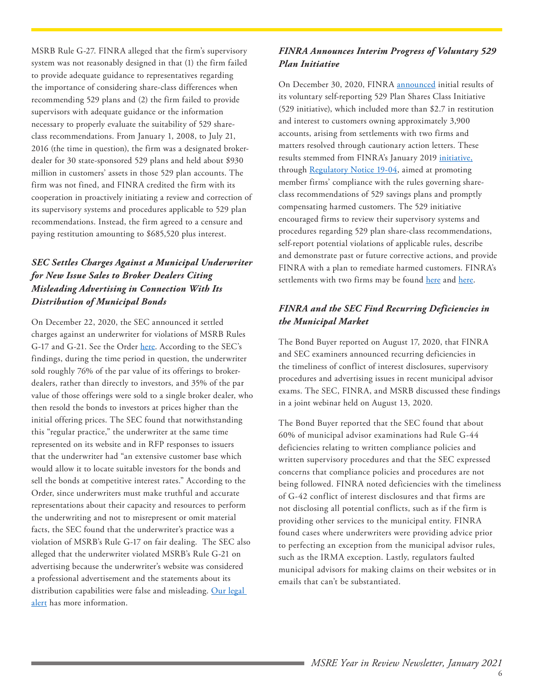MSRB Rule G-27. FINRA alleged that the firm's supervisory system was not reasonably designed in that (1) the firm failed to provide adequate guidance to representatives regarding the importance of considering share-class differences when recommending 529 plans and (2) the firm failed to provide supervisors with adequate guidance or the information necessary to properly evaluate the suitability of 529 shareclass recommendations. From January 1, 2008, to July 21, 2016 (the time in question), the firm was a designated brokerdealer for 30 state-sponsored 529 plans and held about \$930 million in customers' assets in those 529 plan accounts. The firm was not fined, and FINRA credited the firm with its cooperation in proactively initiating a review and correction of its supervisory systems and procedures applicable to 529 plan recommendations. Instead, the firm agreed to a censure and paying restitution amounting to \$685,520 plus interest.

## *SEC Settles Charges Against a Municipal Underwriter for New Issue Sales to Broker Dealers Citing Misleading Advertising in Connection With Its Distribution of Municipal Bonds*

On December 22, 2020, the SEC announced it settled charges against an underwriter for violations of MSRB Rules G-17 and G-21. See the Order [here.](https://www.sec.gov/litigation/admin/2020/34-90783.pdf) According to the SEC's findings, during the time period in question, the underwriter sold roughly 76% of the par value of its offerings to brokerdealers, rather than directly to investors, and 35% of the par value of those offerings were sold to a single broker dealer, who then resold the bonds to investors at prices higher than the initial offering prices. The SEC found that notwithstanding this "regular practice," the underwriter at the same time represented on its website and in RFP responses to issuers that the underwriter had "an extensive customer base which would allow it to locate suitable investors for the bonds and sell the bonds at competitive interest rates." According to the Order, since underwriters must make truthful and accurate representations about their capacity and resources to perform the underwriting and not to misrepresent or omit material facts, the SEC found that the underwriter's practice was a violation of MSRB's Rule G-17 on fair dealing. The SEC also alleged that the underwriter violated MSRB's Rule G-21 on advertising because the underwriter's website was considered a professional advertisement and the statements about its distribution capabilities were false and misleading. Our legal [alert](https://www.ballardspahr.com/alertspublications/legalalerts/2021-01-11-sec-settles-charges-against-municipal-underwriter-for) has more information.

#### *FINRA Announces Interim Progress of Voluntary 529 Plan Initiative*

On December 30, 2020, FINRA [announced](https://www.finra.org/media-center/newsreleases/2020/finra-announces-interim-progress-voluntary-529-plan-share-class) initial results of its voluntary self-reporting 529 Plan Shares Class Initiative (529 initiative), which included more than \$2.7 in restitution and interest to customers owning approximately 3,900 accounts, arising from settlements with two firms and matters resolved through cautionary action letters. These results stemmed from FINRA's January 2019 [initiative](https://www.finra.org/media-center/news-releases/2019/finra-launches-new-initiative-member-firms-self-report-529-savings-plan), through [Regulatory Notice 19-04,](https://www.finra.org/rules-guidance/notices/19-04) aimed at promoting member firms' compliance with the rules governing shareclass recommendations of 529 savings plans and promptly compensating harmed customers. The 529 initiative encouraged firms to review their supervisory systems and procedures regarding 529 plan share-class recommendations, self-report potential violations of applicable rules, describe and demonstrate past or future corrective actions, and provide FINRA with a plan to remediate harmed customers. FINRA's settlements with two firms may be found [here](https://www.finra.org/sites/default/files/2020-12/morgan-stanley-smith-barney-awc-123020.pdf) and [here.](https://www.finra.org/sites/default/files/2020-12/b-riley-wealth-management-awc-123020.pdf)

### *FINRA and the SEC Find Recurring Deficiencies in the Municipal Market*

The Bond Buyer reported on August 17, 2020, that FINRA and SEC examiners announced recurring deficiencies in the timeliness of conflict of interest disclosures, supervisory procedures and advertising issues in recent municipal advisor exams. The SEC, FINRA, and MSRB discussed these findings in a joint webinar held on August 13, 2020.

The Bond Buyer reported that the SEC found that about 60% of municipal advisor examinations had Rule G-44 deficiencies relating to written compliance policies and written supervisory procedures and that the SEC expressed concerns that compliance policies and procedures are not being followed. FINRA noted deficiencies with the timeliness of G-42 conflict of interest disclosures and that firms are not disclosing all potential conflicts, such as if the firm is providing other services to the municipal entity. FINRA found cases where underwriters were providing advice prior to perfecting an exception from the municipal advisor rules, such as the IRMA exception. Lastly, regulators faulted municipal advisors for making claims on their websites or in emails that can't be substantiated.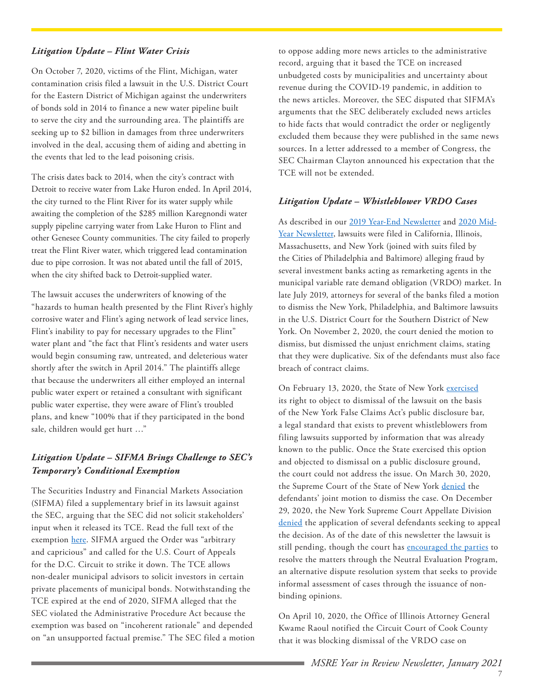#### *Litigation Update – Flint Water Crisis*

On October 7, 2020, victims of the Flint, Michigan, water contamination crisis filed a lawsuit in the U.S. District Court for the Eastern District of Michigan against the underwriters of bonds sold in 2014 to finance a new water pipeline built to serve the city and the surrounding area. The plaintiffs are seeking up to \$2 billion in damages from three underwriters involved in the deal, accusing them of aiding and abetting in the events that led to the lead poisoning crisis.

The crisis dates back to 2014, when the city's contract with Detroit to receive water from Lake Huron ended. In April 2014, the city turned to the Flint River for its water supply while awaiting the completion of the \$285 million Karegnondi water supply pipeline carrying water from Lake Huron to Flint and other Genesee County communities. The city failed to properly treat the Flint River water, which triggered lead contamination due to pipe corrosion. It was not abated until the fall of 2015, when the city shifted back to Detroit-supplied water.

The lawsuit accuses the underwriters of knowing of the "hazards to human health presented by the Flint River's highly corrosive water and Flint's aging network of lead service lines, Flint's inability to pay for necessary upgrades to the Flint" water plant and "the fact that Flint's residents and water users would begin consuming raw, untreated, and deleterious water shortly after the switch in April 2014." The plaintiffs allege that because the underwriters all either employed an internal public water expert or retained a consultant with significant public water expertise, they were aware of Flint's troubled plans, and knew "100% that if they participated in the bond sale, children would get hurt …"

#### *Litigation Update – SIFMA Brings Challenge to SEC's Temporary's Conditional Exemption*

The Securities Industry and Financial Markets Association (SIFMA) filed a supplementary brief in its lawsuit against the SEC, arguing that the SEC did not solicit stakeholders' input when it released its TCE. Read the full text of the exemption [here.](https://www.sec.gov/rules/exorders/2020/34-89074.pdf) SIFMA argued the Order was "arbitrary and capricious" and called for the U.S. Court of Appeals for the D.C. Circuit to strike it down. The TCE allows non-dealer municipal advisors to solicit investors in certain private placements of municipal bonds. Notwithstanding the TCE expired at the end of 2020, SIFMA alleged that the SEC violated the Administrative Procedure Act because the exemption was based on "incoherent rationale" and depended on "an unsupported factual premise." The SEC filed a motion

to oppose adding more news articles to the administrative record, arguing that it based the TCE on increased unbudgeted costs by municipalities and uncertainty about revenue during the COVID-19 pandemic, in addition to the news articles. Moreover, the SEC disputed that SIFMA's arguments that the SEC deliberately excluded news articles to hide facts that would contradict the order or negligently excluded them because they were published in the same news sources. In a letter addressed to a member of Congress, the SEC Chairman Clayton announced his expectation that the TCE will not be extended.

#### *Litigation Update – Whistleblower VRDO Cases*

As described in our [2019 Year-End Newsletter](https://www.ballardspahr.com/-/media/files/brochures/msre-year-in-review-2019---jan-2020.pdf?la=en&hash=A259CBAC6AF55823DDDBA4797FA6384F) and [2020 Mid-](https://www.ballardspahr.com/-/media/files/municipal-market-enforcement---01-20.pdf?la=en&hash=D9398747D8CF6740DFEE3BD249F12318)[Year Newsletter](https://www.ballardspahr.com/-/media/files/municipal-market-enforcement---01-20.pdf?la=en&hash=D9398747D8CF6740DFEE3BD249F12318), lawsuits were filed in California, Illinois, Massachusetts, and New York (joined with suits filed by the Cities of Philadelphia and Baltimore) alleging fraud by several investment banks acting as remarketing agents in the municipal variable rate demand obligation (VRDO) market. In late July 2019, attorneys for several of the banks filed a motion to dismiss the New York, Philadelphia, and Baltimore lawsuits in the U.S. District Court for the Southern District of New York. On November 2, 2020, the court denied the motion to dismiss, but dismissed the unjust enrichment claims, stating that they were duplicative. Six of the defendants must also face breach of contract claims.

On February 13, 2020, the State of New York [exercised](https://iapps.courts.state.ny.us/fbem/DocumentDisplayServlet?documentId=6SQqCrZC9ZUc2lNU7lmMWw==&system=prod) its right to object to dismissal of the lawsuit on the basis of the New York False Claims Act's public disclosure bar, a legal standard that exists to prevent whistleblowers from filing lawsuits supported by information that was already known to the public. Once the State exercised this option and objected to dismissal on a public disclosure ground, the court could not address the issue. On March 30, 2020, the Supreme Court of the State of New York [denied](https://iapps.courts.state.ny.us/fbem/DocumentDisplayServlet?documentId=a1gtAWt8lw6634M7ME2QFA==&system=prod) the defendants' joint motion to dismiss the case. On December 29, 2020, the New York Supreme Court Appellate Division [denied](http://www.nycourts.gov/courts/ad1/calendar/List_Word/2020/12_Dec/29/PDF/State%20of%20NY%20%20v%20%20JPMorgan%20Chase%20(2020-02539).pdf) the application of several defendants seeking to appeal the decision. As of the date of this newsletter the lawsuit is still pending, though the court has [encouraged the parties](https://iapps.courts.state.ny.us/fbem/DocumentDisplayServlet?documentId=24PHjG_PLUS_0XAYp8ioQy7e77Q==&system=prod) to resolve the matters through the Neutral Evaluation Program, an alternative dispute resolution system that seeks to provide informal assessment of cases through the issuance of nonbinding opinions.

On April 10, 2020, the Office of Illinois Attorney General Kwame Raoul notified the Circuit Court of Cook County that it was blocking dismissal of the VRDO case on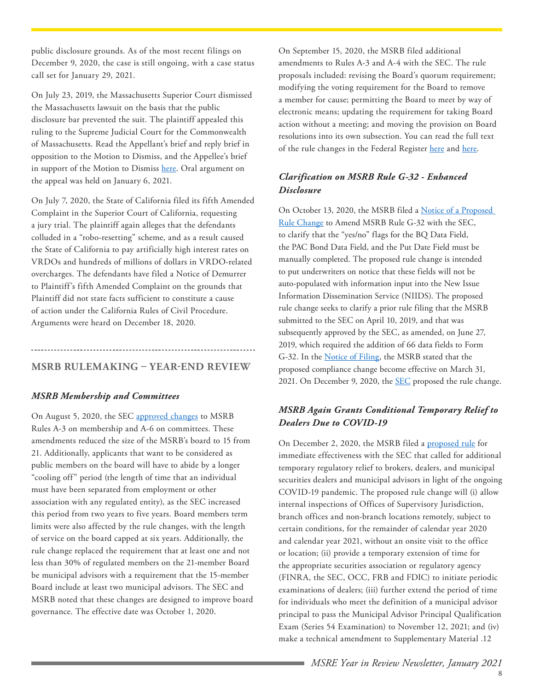<span id="page-7-0"></span>public disclosure grounds. As of the most recent filings on December 9, 2020, the case is still ongoing, with a case status call set for January 29, 2021.

On July 23, 2019, the Massachusetts Superior Court dismissed the Massachusetts lawsuit on the basis that the public disclosure bar prevented the suit. The plaintiff appealed this ruling to the Supreme Judicial Court for the Commonwealth of Massachusetts. Read the Appellant's brief and reply brief in opposition to the Motion to Dismiss, and the Appellee's brief in support of the Motion to Dismiss [here](https://www.ma-appellatecourts.org/docket/SJC-12973). Oral argument on the appeal was held on January 6, 2021.

On July 7, 2020, the State of California filed its fifth Amended Complaint in the Superior Court of California, requesting a jury trial. The plaintiff again alleges that the defendants colluded in a "robo-resetting" scheme, and as a result caused the State of California to pay artificially high interest rates on VRDOs and hundreds of millions of dollars in VRDO-related overcharges. The defendants have filed a Notice of Demurrer to Plaintiff's fifth Amended Complaint on the grounds that Plaintiff did not state facts sufficient to constitute a cause of action under the California Rules of Civil Procedure. Arguments were heard on December 18, 2020.

# **MSRB RULEMAKING – YEAR-END REVIEW**

#### *MSRB Membership and Committees*

On August 5, 2020, the SEC [approved changes](https://www.sec.gov/rules/sro/msrb/2020/34-89484.pdf) to MSRB Rules A-3 on membership and A-6 on committees. These amendments reduced the size of the MSRB's board to 15 from 21. Additionally, applicants that want to be considered as public members on the board will have to abide by a longer "cooling off" period (the length of time that an individual must have been separated from employment or other association with any regulated entity), as the SEC increased this period from two years to five years. Board members term limits were also affected by the rule changes, with the length of service on the board capped at six years. Additionally, the rule change replaced the requirement that at least one and not less than 30% of regulated members on the 21-member Board be municipal advisors with a requirement that the 15-member Board include at least two municipal advisors. The SEC and MSRB noted that these changes are designed to improve board governance. The effective date was October 1, 2020.

On September 15, 2020, the MSRB filed additional amendments to Rules A-3 and A-4 with the SEC. The rule proposals included: revising the Board's quorum requirement; modifying the voting requirement for the Board to remove a member for cause; permitting the Board to meet by way of electronic means; updating the requirement for taking Board action without a meeting; and moving the provision on Board resolutions into its own subsection. You can read the full text of the rule changes in the Federal Register [here](https://www.govinfo.gov/content/pkg/FR-2020-10-01/pdf/2020-21659.pdf) and [here.](https://www.govinfo.gov/content/pkg/FR-2020-10-07/pdf/2020-22098.pdf)

#### *Clarification on MSRB Rule G-32 - Enhanced Disclosure*

On October 13, 2020, the MSRB filed a Notice of a Proposed [Rule Change](http://www.msrb.org/~/media/Files/SEC-Filings/2020/MSRB-2020-08.ashx) to Amend MSRB Rule G-32 with the SEC, to clarify that the "yes/no" flags for the BQ Data Field, the PAC Bond Data Field, and the Put Date Field must be manually completed. The proposed rule change is intended to put underwriters on notice that these fields will not be auto-populated with information input into the New Issue Information Dissemination Service (NIIDS). The proposed rule change seeks to clarify a prior rule filing that the MSRB submitted to the SEC on April 10, 2019, and that was subsequently approved by the SEC, as amended, on June 27, 2019, which required the addition of 66 data fields to Form G-32. In the [Notice of Filing,](https://www.govinfo.gov/content/pkg/FR-2020-10-28/pdf/2020-23795.pdf) the MSRB stated that the proposed compliance change become effective on March 31, 2021. On December 9, 2020, the **SEC** proposed the rule change.

### *MSRB Again Grants Conditional Temporary Relief to Dealers Due to COVID-19*

On December 2, 2020, the MSRB filed a [proposed rule](http://www.msrb.org/~/media/Files/SEC-Filings/2020/MSRB-2020-09.ashx) for immediate effectiveness with the SEC that called for additional temporary regulatory relief to brokers, dealers, and municipal securities dealers and municipal advisors in light of the ongoing COVID-19 pandemic. The proposed rule change will (i) allow internal inspections of Offices of Supervisory Jurisdiction, branch offices and non-branch locations remotely, subject to certain conditions, for the remainder of calendar year 2020 and calendar year 2021, without an onsite visit to the office or location; (ii) provide a temporary extension of time for the appropriate securities association or regulatory agency (FINRA, the SEC, OCC, FRB and FDIC) to initiate periodic examinations of dealers; (iii) further extend the period of time for individuals who meet the definition of a municipal advisor principal to pass the Municipal Advisor Principal Qualification Exam (Series 54 Examination) to November 12, 2021; and (iv) make a technical amendment to Supplementary Material .12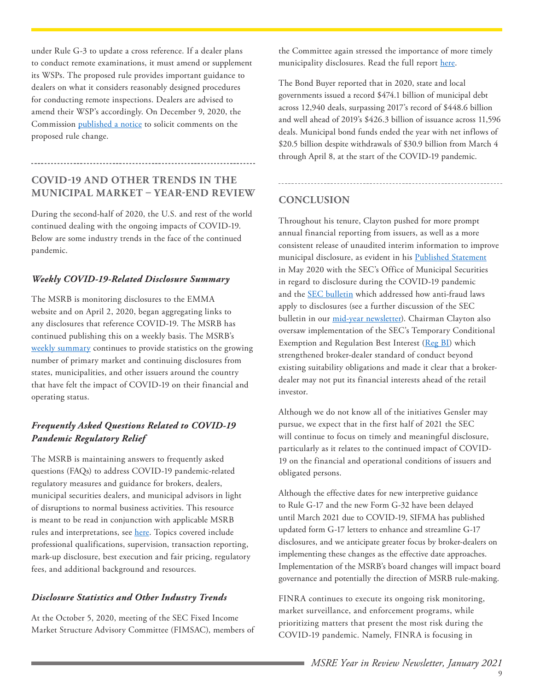<span id="page-8-0"></span>under Rule G-3 to update a cross reference. If a dealer plans to conduct remote examinations, it must amend or supplement its WSPs. The proposed rule provides important guidance to dealers on what it considers reasonably designed procedures for conducting remote inspections. Dealers are advised to amend their WSP's accordingly. On December 9, 2020, the Commission [published a notice](https://www.sec.gov/rules/sro/msrb/2020/34-90621.pdf) to solicit comments on the proposed rule change.

# **COVID-19 AND OTHER TRENDS IN THE MUNICIPAL MARKET – YEAR-END REVIEW**

During the second-half of 2020, the U.S. and rest of the world continued dealing with the ongoing impacts of COVID-19. Below are some industry trends in the face of the continued pandemic.

#### *Weekly COVID-19-Related Disclosure Summary*

The MSRB is monitoring disclosures to the EMMA website and on April 2, 2020, began aggregating links to any disclosures that reference COVID-19. The MSRB has continued publishing this on a weekly basis. The MSRB's [weekly summary](http://www.msrb.org/msrb1/pdfs/Municipal-Securities-Market-COVID-19-Related-Disclosure-Summary.pdf) continues to provide statistics on the growing number of primary market and continuing disclosures from states, municipalities, and other issuers around the country that have felt the impact of COVID-19 on their financial and operating status.

# *Frequently Asked Questions Related to COVID-19 Pandemic Regulatory Relief*

The MSRB is maintaining answers to frequently asked questions (FAQs) to address COVID-19 pandemic-related regulatory measures and guidance for brokers, dealers, municipal securities dealers, and municipal advisors in light of disruptions to normal business activities. This resource is meant to be read in conjunction with applicable MSRB rules and interpretations, see [here](http://msrb.org/Rules-and-Interpretations/MSRB-Rules.aspx). Topics covered include professional qualifications, supervision, transaction reporting, mark-up disclosure, best execution and fair pricing, regulatory fees, and additional background and resources.

#### *Disclosure Statistics and Other Industry Trends*

At the October 5, 2020, meeting of the SEC Fixed Income Market Structure Advisory Committee (FIMSAC), members of the Committee again stressed the importance of more timely municipality disclosures. Read the full report [here.](https://www.sec.gov/spotlight/fixed-income-advisory-committee/fimsac-muni-overview-100520.pdf)

The Bond Buyer reported that in 2020, state and local governments issued a record \$474.1 billion of municipal debt across 12,940 deals, surpassing 2017's record of \$448.6 billion and well ahead of 2019's \$426.3 billion of issuance across 11,596 deals. Municipal bond funds ended the year with net inflows of \$20.5 billion despite withdrawals of \$30.9 billion from March 4 through April 8, at the start of the COVID-19 pandemic.

### **CONCLUSION**

Throughout his tenure, Clayton pushed for more prompt annual financial reporting from issuers, as well as a more consistent release of unaudited interim information to improve municipal disclosure, as evident in his [Published Statement](https://www.sec.gov/news/public-statement/statement-clayton-olsen-2020-05-04) in May 2020 with the SEC's Office of Municipal Securities in regard to disclosure during the COVID-19 pandemic and the [SEC bulletin](https://www.sec.gov/municipal/application-antifraud-provisions-staff-legal-bulletin-21) which addressed how anti-fraud laws apply to disclosures (see a further discussion of the SEC bulletin in our [mid-year newsletter\)](https://www.ballardspahr.com/-/media/files/municipal-market-enforcement---07-20.pdf). Chairman Clayton also oversaw implementation of the SEC's Temporary Conditional Exemption and Regulation Best Interest [\(Reg BI](https://www.govinfo.gov/content/pkg/FR-2019-07-12/pdf/2019-12164.pdf)) which strengthened broker-dealer standard of conduct beyond existing suitability obligations and made it clear that a brokerdealer may not put its financial interests ahead of the retail investor.

Although we do not know all of the initiatives Gensler may pursue, we expect that in the first half of 2021 the SEC will continue to focus on timely and meaningful disclosure, particularly as it relates to the continued impact of COVID-19 on the financial and operational conditions of issuers and obligated persons.

Although the effective dates for new interpretive guidance to Rule G-17 and the new Form G-32 have been delayed until March 2021 due to COVID-19, SIFMA has published updated form G-17 letters to enhance and streamline G-17 disclosures, and we anticipate greater focus by broker-dealers on implementing these changes as the effective date approaches. Implementation of the MSRB's board changes will impact board governance and potentially the direction of MSRB rule-making.

FINRA continues to execute its ongoing risk monitoring, market surveillance, and enforcement programs, while prioritizing matters that present the most risk during the COVID-19 pandemic. Namely, FINRA is focusing in